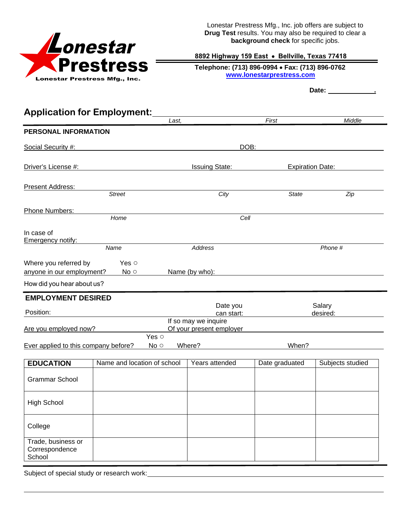

Lonestar Prestress Mfg., Inc. job offers are subject to **Drug Test** results. You may also be required to clear a **background check** for specific jobs.

## **8892 Highway 159 East** • **Bellville, Texas 77418**

 **Telephone: (713) 896-0994** • **Fax: (713) 896-0762 www.lonestarprestress.com**

Date: <u>\_\_\_\_\_\_\_\_\_\_\_\_\_\_</u>

| <b>Application for Employment:</b>                                                  |                             |       |                          |                         |                    |  |
|-------------------------------------------------------------------------------------|-----------------------------|-------|--------------------------|-------------------------|--------------------|--|
|                                                                                     |                             | Last. |                          | First                   | Middle             |  |
| PERSONAL INFORMATION                                                                |                             |       |                          |                         |                    |  |
| Social Security #:                                                                  |                             |       | DOB:                     |                         |                    |  |
| Driver's License #:                                                                 |                             |       | <b>Issuing State:</b>    | <b>Expiration Date:</b> |                    |  |
|                                                                                     |                             |       |                          |                         |                    |  |
| <b>Present Address:</b>                                                             |                             |       |                          |                         |                    |  |
|                                                                                     | <b>Street</b>               |       | City                     | <b>State</b>            | Zip                |  |
| Phone Numbers:                                                                      |                             |       |                          |                         |                    |  |
|                                                                                     | Home                        |       | Cell                     |                         |                    |  |
| In case of<br><b>Emergency notify:</b>                                              |                             |       |                          |                         |                    |  |
|                                                                                     | Name                        |       | Address                  |                         | Phone #            |  |
| Where you referred by                                                               | Yes o                       |       |                          |                         |                    |  |
| anyone in our employment?                                                           | No <sub>o</sub>             |       | Name (by who):           |                         |                    |  |
| How did you hear about us?                                                          |                             |       |                          |                         |                    |  |
| <b>EMPLOYMENT DESIRED</b>                                                           |                             |       |                          |                         |                    |  |
| Position:                                                                           |                             |       | Date you<br>can start:   |                         | Salary<br>desired: |  |
|                                                                                     |                             |       | If so may we inquire     |                         |                    |  |
| Are you employed now?                                                               |                             |       | Of your present employer |                         |                    |  |
| Yes o<br>Ever applied to this company before?<br>No <sub>o</sub><br>Where?<br>When? |                             |       |                          |                         |                    |  |
| <b>EDUCATION</b>                                                                    | Name and location of school |       | Years attended           | Date graduated          | Subjects studied   |  |
| <b>Grammar School</b>                                                               |                             |       |                          |                         |                    |  |
|                                                                                     |                             |       |                          |                         |                    |  |
| <b>High School</b>                                                                  |                             |       |                          |                         |                    |  |
|                                                                                     |                             |       |                          |                         |                    |  |
| College                                                                             |                             |       |                          |                         |                    |  |
| Trade, business or                                                                  |                             |       |                          |                         |                    |  |
| Correspondence<br>School                                                            |                             |       |                          |                         |                    |  |
|                                                                                     |                             |       |                          |                         |                    |  |

Subject of special study or research work: